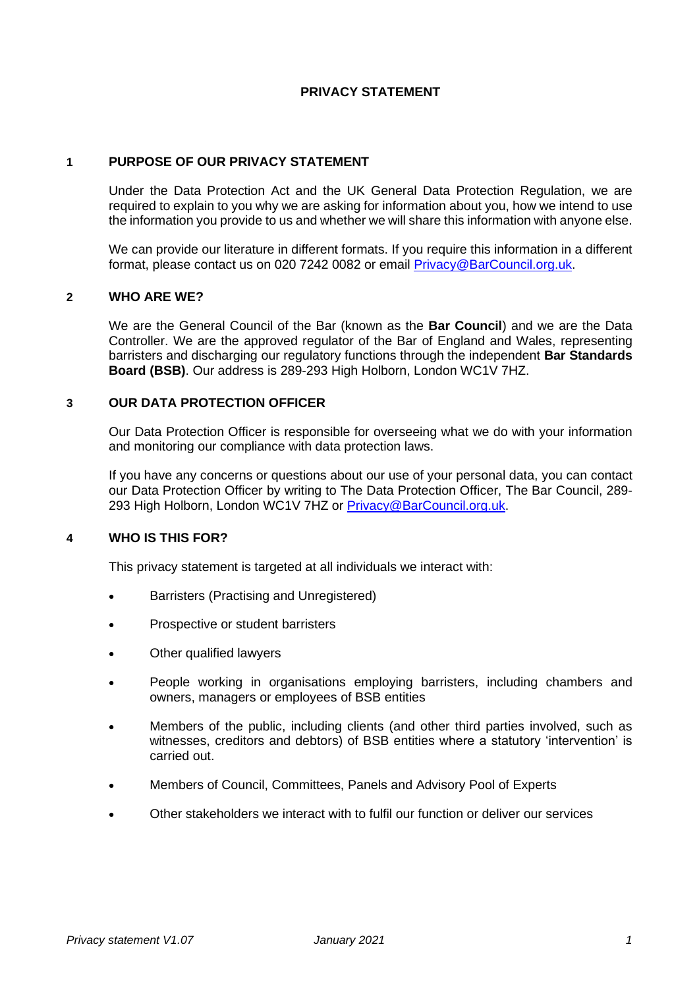## **PRIVACY STATEMENT**

## **1 PURPOSE OF OUR PRIVACY STATEMENT**

Under the Data Protection Act and the UK General Data Protection Regulation, we are required to explain to you why we are asking for information about you, how we intend to use the information you provide to us and whether we will share this information with anyone else.

We can provide our literature in different formats. If you require this information in a different format, please contact us on 020 7242 0082 or email [Privacy@BarCouncil.org.uk.](mailto:Privacy@BarCouncil.org.uk)

## **2 WHO ARE WE?**

We are the General Council of the Bar (known as the **Bar Council**) and we are the Data Controller. We are the approved regulator of the Bar of England and Wales, representing barristers and discharging our regulatory functions through the independent **Bar Standards Board (BSB)**. Our address is 289-293 High Holborn, London WC1V 7HZ.

## **3 OUR DATA PROTECTION OFFICER**

Our Data Protection Officer is responsible for overseeing what we do with your information and monitoring our compliance with data protection laws.

If you have any concerns or questions about our use of your personal data, you can contact our Data Protection Officer by writing to The Data Protection Officer, The Bar Council, 289- 293 High Holborn, London WC1V 7HZ or [Privacy@BarCouncil.org.uk.](mailto:Privacy@BarCouncil.org.uk)

## **4 WHO IS THIS FOR?**

This privacy statement is targeted at all individuals we interact with:

- Barristers (Practising and Unregistered)
- Prospective or student barristers
- Other qualified lawyers
- People working in organisations employing barristers, including chambers and owners, managers or employees of BSB entities
- Members of the public, including clients (and other third parties involved, such as witnesses, creditors and debtors) of BSB entities where a statutory 'intervention' is carried out.
- Members of Council, Committees, Panels and Advisory Pool of Experts
- Other stakeholders we interact with to fulfil our function or deliver our services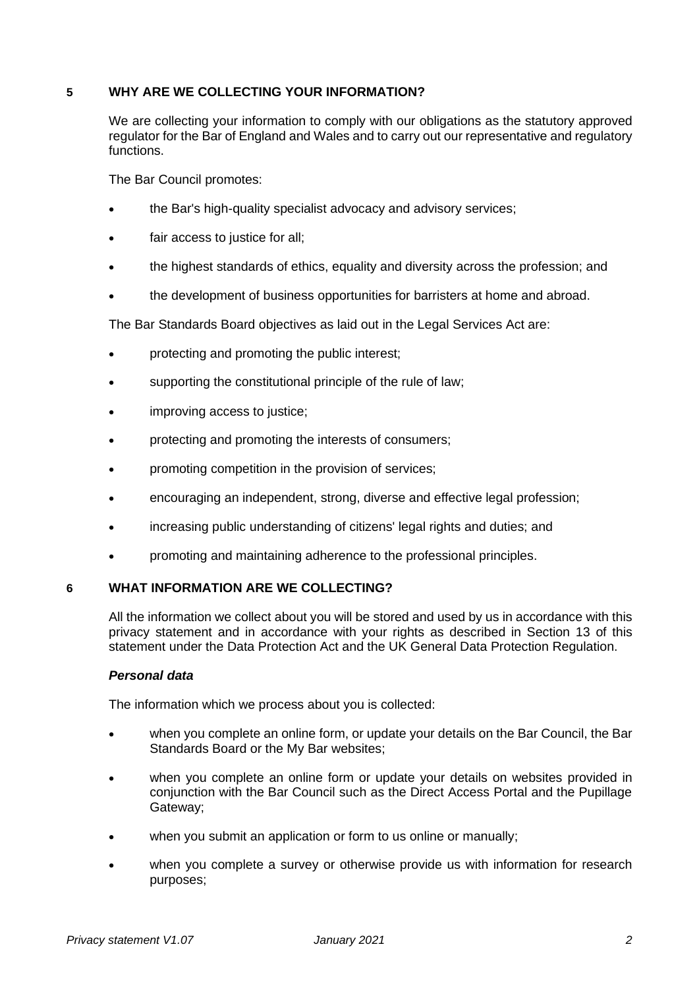# **5 WHY ARE WE COLLECTING YOUR INFORMATION?**

We are collecting your information to comply with our obligations as the statutory approved regulator for the Bar of England and Wales and to carry out our representative and regulatory functions.

The Bar Council promotes:

- the Bar's high-quality specialist advocacy and advisory services;
- fair access to justice for all;
- the highest standards of ethics, equality and diversity across the profession; and
- the development of business opportunities for barristers at home and abroad.

The Bar Standards Board objectives as laid out in the Legal Services Act are:

- protecting and promoting the public interest;
- supporting the constitutional principle of the rule of law;
- improving access to justice:
- protecting and promoting the interests of consumers;
- promoting competition in the provision of services;
- encouraging an independent, strong, diverse and effective legal profession;
- increasing public understanding of citizens' legal rights and duties; and
- promoting and maintaining adherence to the professional principles.

## **6 WHAT INFORMATION ARE WE COLLECTING?**

All the information we collect about you will be stored and used by us in accordance with this privacy statement and in accordance with your rights as described in Section 13 of this statement under the Data Protection Act and the UK General Data Protection Regulation.

## *Personal data*

The information which we process about you is collected:

- when you complete an online form, or update your details on the Bar Council, the Bar Standards Board or the My Bar websites;
- when you complete an online form or update your details on websites provided in conjunction with the Bar Council such as the Direct Access Portal and the Pupillage Gateway;
- when you submit an application or form to us online or manually:
- when you complete a survey or otherwise provide us with information for research purposes;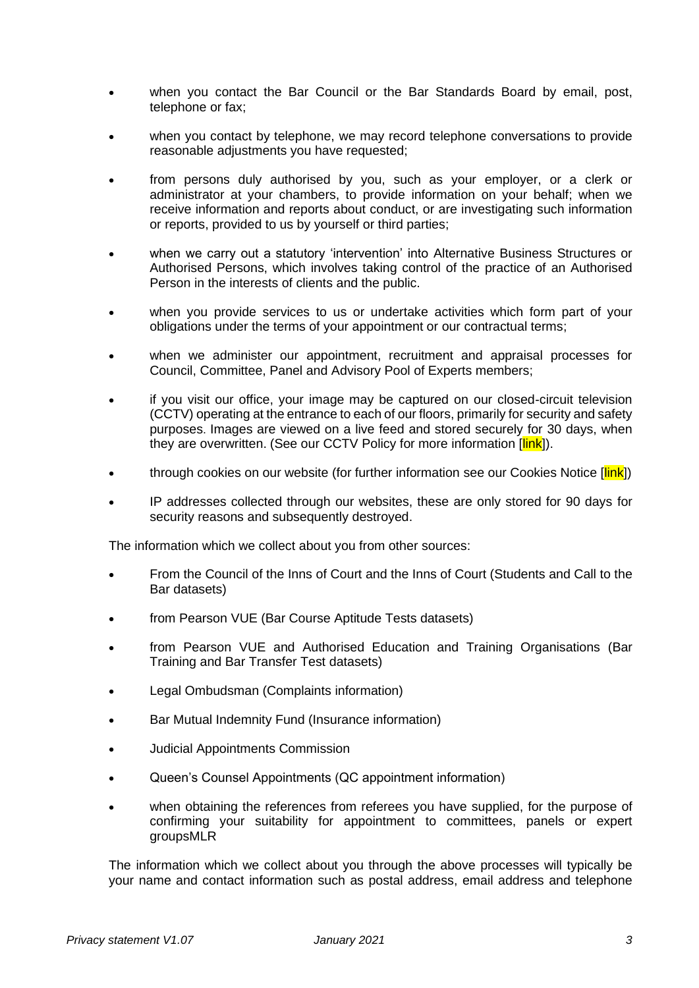- when you contact the Bar Council or the Bar Standards Board by email, post, telephone or fax;
- when you contact by telephone, we may record telephone conversations to provide reasonable adjustments you have requested;
- from persons duly authorised by you, such as your employer, or a clerk or administrator at your chambers, to provide information on your behalf; when we receive information and reports about conduct, or are investigating such information or reports, provided to us by yourself or third parties;
- when we carry out a statutory 'intervention' into Alternative Business Structures or Authorised Persons, which involves taking control of the practice of an Authorised Person in the interests of clients and the public.
- when you provide services to us or undertake activities which form part of your obligations under the terms of your appointment or our contractual terms;
- when we administer our appointment, recruitment and appraisal processes for Council, Committee, Panel and Advisory Pool of Experts members;
- if you visit our office, your image may be captured on our closed-circuit television (CCTV) operating at the entrance to each of our floors, primarily for security and safety purposes. Images are viewed on a live feed and stored securely for 30 days, when they are overwritten. (See our CCTV Policy for more information [link]).
- through cookies on our website (for further information see our Cookies Notice [link])
- IP addresses collected through our websites, these are only stored for 90 days for security reasons and subsequently destroyed.

The information which we collect about you from other sources:

- From the Council of the Inns of Court and the Inns of Court (Students and Call to the Bar datasets)
- from Pearson VUE (Bar Course Aptitude Tests datasets)
- from Pearson VUE and Authorised Education and Training Organisations (Bar Training and Bar Transfer Test datasets)
- Legal Ombudsman (Complaints information)
- Bar Mutual Indemnity Fund (Insurance information)
- Judicial Appointments Commission
- Queen's Counsel Appointments (QC appointment information)
- when obtaining the references from referees you have supplied, for the purpose of confirming your suitability for appointment to committees, panels or expert groupsMLR

The information which we collect about you through the above processes will typically be your name and contact information such as postal address, email address and telephone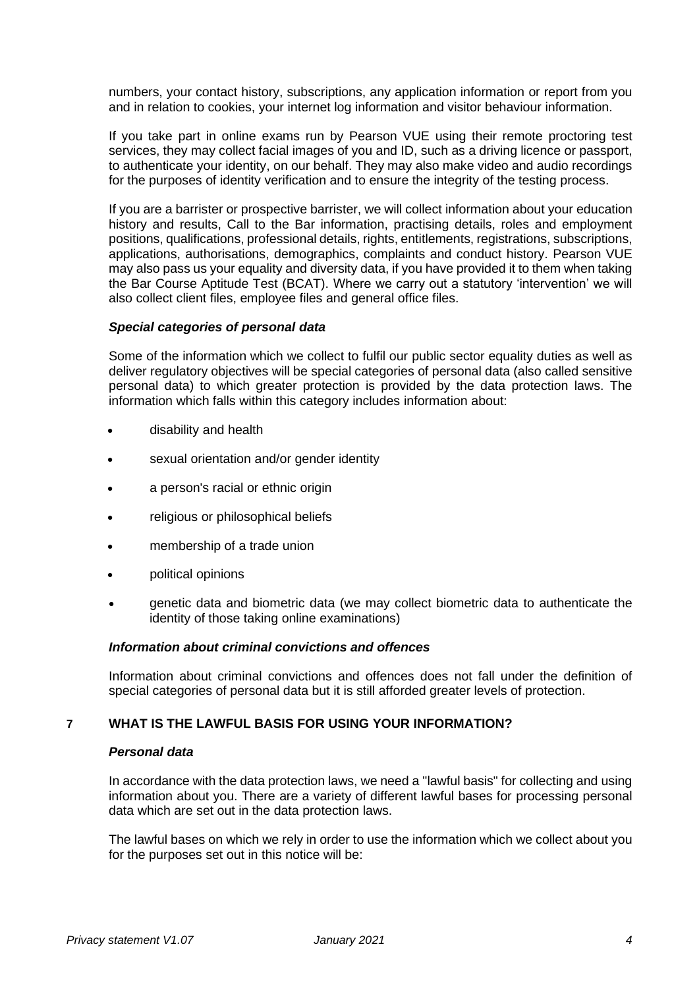numbers, your contact history, subscriptions, any application information or report from you and in relation to cookies, your internet log information and visitor behaviour information.

If you take part in online exams run by Pearson VUE using their remote proctoring test services, they may collect facial images of you and ID, such as a driving licence or passport, to authenticate your identity, on our behalf. They may also make video and audio recordings for the purposes of identity verification and to ensure the integrity of the testing process.

If you are a barrister or prospective barrister, we will collect information about your education history and results, Call to the Bar information, practising details, roles and employment positions, qualifications, professional details, rights, entitlements, registrations, subscriptions, applications, authorisations, demographics, complaints and conduct history. Pearson VUE may also pass us your equality and diversity data, if you have provided it to them when taking the Bar Course Aptitude Test (BCAT). Where we carry out a statutory 'intervention' we will also collect client files, employee files and general office files.

## *Special categories of personal data*

Some of the information which we collect to fulfil our public sector equality duties as well as deliver regulatory objectives will be special categories of personal data (also called sensitive personal data) to which greater protection is provided by the data protection laws. The information which falls within this category includes information about:

- disability and health
- sexual orientation and/or gender identity
- a person's racial or ethnic origin
- religious or philosophical beliefs
- membership of a trade union
- political opinions
- genetic data and biometric data (we may collect biometric data to authenticate the identity of those taking online examinations)

## *Information about criminal convictions and offences*

Information about criminal convictions and offences does not fall under the definition of special categories of personal data but it is still afforded greater levels of protection.

# **7 WHAT IS THE LAWFUL BASIS FOR USING YOUR INFORMATION?**

## *Personal data*

In accordance with the data protection laws, we need a "lawful basis" for collecting and using information about you. There are a variety of different lawful bases for processing personal data which are set out in the data protection laws.

The lawful bases on which we rely in order to use the information which we collect about you for the purposes set out in this notice will be: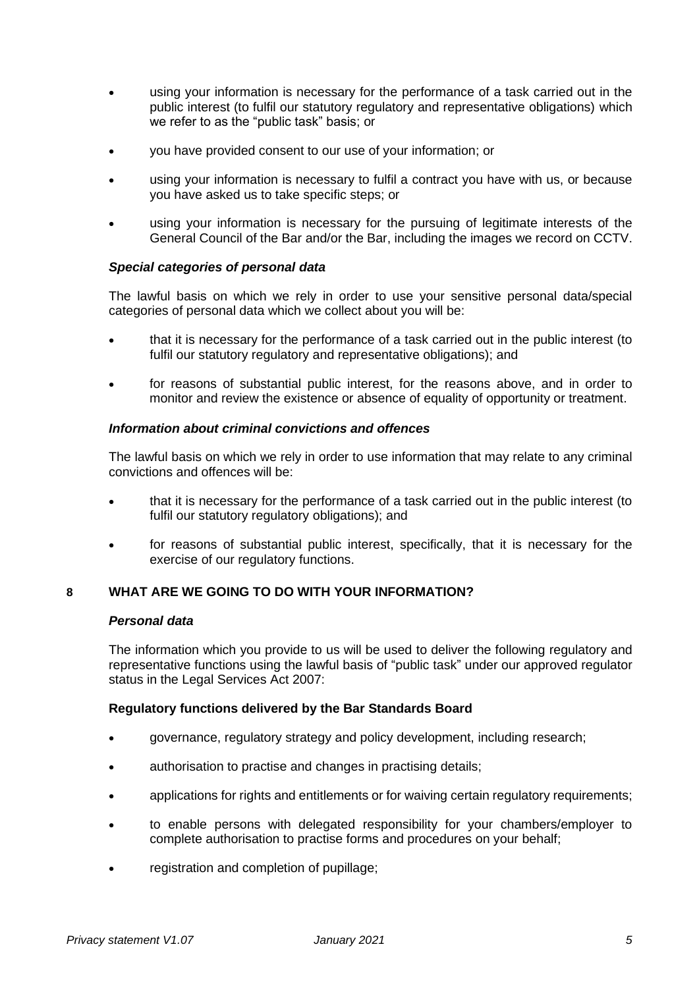- using your information is necessary for the performance of a task carried out in the public interest (to fulfil our statutory regulatory and representative obligations) which we refer to as the "public task" basis; or
- you have provided consent to our use of your information; or
- using your information is necessary to fulfil a contract you have with us, or because you have asked us to take specific steps; or
- using your information is necessary for the pursuing of legitimate interests of the General Council of the Bar and/or the Bar, including the images we record on CCTV.

## *Special categories of personal data*

The lawful basis on which we rely in order to use your sensitive personal data/special categories of personal data which we collect about you will be:

- that it is necessary for the performance of a task carried out in the public interest (to fulfil our statutory regulatory and representative obligations); and
- for reasons of substantial public interest, for the reasons above, and in order to monitor and review the existence or absence of equality of opportunity or treatment.

## *Information about criminal convictions and offences*

The lawful basis on which we rely in order to use information that may relate to any criminal convictions and offences will be:

- that it is necessary for the performance of a task carried out in the public interest (to fulfil our statutory regulatory obligations); and
- for reasons of substantial public interest, specifically, that it is necessary for the exercise of our regulatory functions.

# **8 WHAT ARE WE GOING TO DO WITH YOUR INFORMATION?**

## *Personal data*

The information which you provide to us will be used to deliver the following regulatory and representative functions using the lawful basis of "public task" under our approved regulator status in the Legal Services Act 2007:

# **Regulatory functions delivered by the Bar Standards Board**

- governance, regulatory strategy and policy development, including research;
- authorisation to practise and changes in practising details;
- applications for rights and entitlements or for waiving certain regulatory requirements;
- to enable persons with delegated responsibility for your chambers/employer to complete authorisation to practise forms and procedures on your behalf;
- registration and completion of pupillage;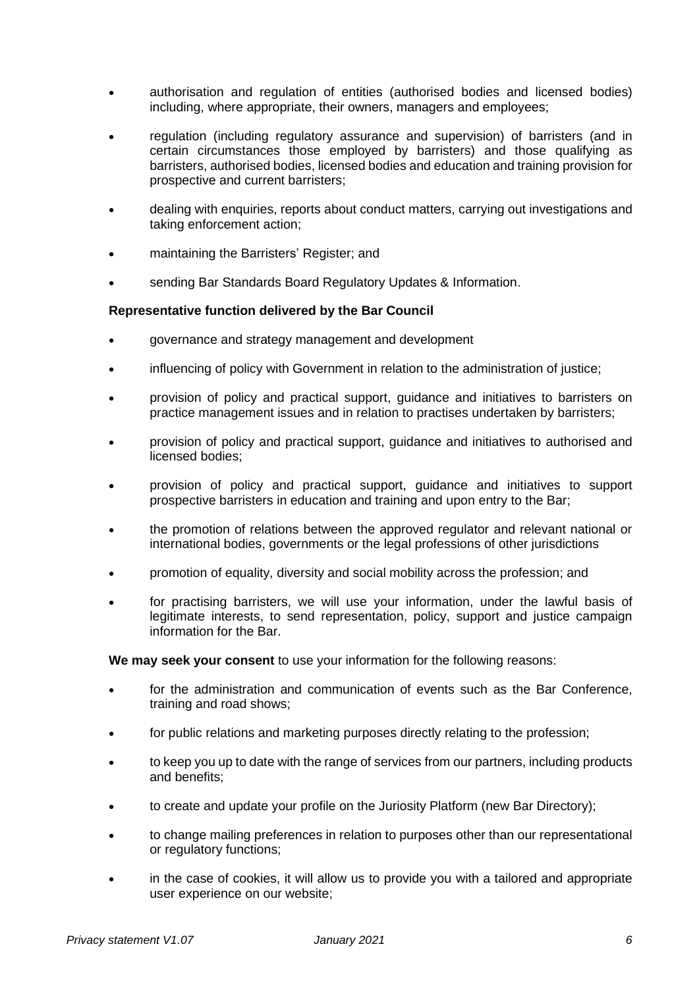- authorisation and regulation of entities (authorised bodies and licensed bodies) including, where appropriate, their owners, managers and employees;
- regulation (including regulatory assurance and supervision) of barristers (and in certain circumstances those employed by barristers) and those qualifying as barristers, authorised bodies, licensed bodies and education and training provision for prospective and current barristers;
- dealing with enquiries, reports about conduct matters, carrying out investigations and taking enforcement action;
- maintaining the Barristers' Register; and
- sending Bar Standards Board Regulatory Updates & Information.

## **Representative function delivered by the Bar Council**

- governance and strategy management and development
- influencing of policy with Government in relation to the administration of justice;
- provision of policy and practical support, guidance and initiatives to barristers on practice management issues and in relation to practises undertaken by barristers;
- provision of policy and practical support, guidance and initiatives to authorised and licensed bodies;
- provision of policy and practical support, guidance and initiatives to support prospective barristers in education and training and upon entry to the Bar;
- the promotion of relations between the approved regulator and relevant national or international bodies, governments or the legal professions of other jurisdictions
- promotion of equality, diversity and social mobility across the profession; and
- for practising barristers, we will use your information, under the lawful basis of legitimate interests, to send representation, policy, support and justice campaign information for the Bar.

**We may seek your consent** to use your information for the following reasons:

- for the administration and communication of events such as the Bar Conference, training and road shows;
- for public relations and marketing purposes directly relating to the profession;
- to keep you up to date with the range of services from our partners, including products and benefits;
- to create and update your profile on the Juriosity Platform (new Bar Directory);
- to change mailing preferences in relation to purposes other than our representational or regulatory functions;
- in the case of cookies, it will allow us to provide you with a tailored and appropriate user experience on our website;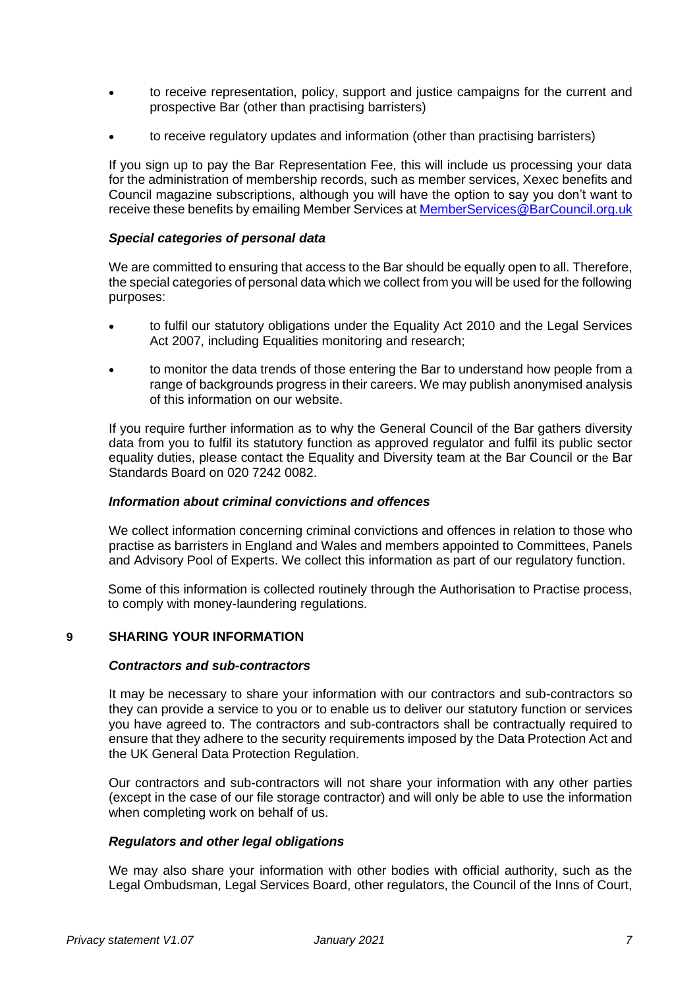- to receive representation, policy, support and justice campaigns for the current and prospective Bar (other than practising barristers)
- to receive regulatory updates and information (other than practising barristers)

If you sign up to pay the Bar Representation Fee, this will include us processing your data for the administration of membership records, such as member services, Xexec benefits and Council magazine subscriptions, although you will have the option to say you don't want to receive these benefits by emailing Member Services a[t MemberServices@BarCouncil.org.uk](mailto:MemberServices@BarCouncil.org.uk)

## *Special categories of personal data*

We are committed to ensuring that access to the Bar should be equally open to all. Therefore, the special categories of personal data which we collect from you will be used for the following purposes:

- to fulfil our statutory obligations under the Equality Act 2010 and the Legal Services Act 2007, including Equalities monitoring and research;
- to monitor the data trends of those entering the Bar to understand how people from a range of backgrounds progress in their careers. We may publish anonymised analysis of this information on our website.

If you require further information as to why the General Council of the Bar gathers diversity data from you to fulfil its statutory function as approved regulator and fulfil its public sector equality duties, please contact the Equality and Diversity team at the Bar Council or the Bar Standards Board on 020 7242 0082.

## *Information about criminal convictions and offences*

We collect information concerning criminal convictions and offences in relation to those who practise as barristers in England and Wales and members appointed to Committees, Panels and Advisory Pool of Experts. We collect this information as part of our regulatory function.

Some of this information is collected routinely through the Authorisation to Practise process, to comply with money-laundering regulations.

## **9 SHARING YOUR INFORMATION**

#### *Contractors and sub-contractors*

It may be necessary to share your information with our contractors and sub-contractors so they can provide a service to you or to enable us to deliver our statutory function or services you have agreed to. The contractors and sub-contractors shall be contractually required to ensure that they adhere to the security requirements imposed by the Data Protection Act and the UK General Data Protection Regulation.

Our contractors and sub-contractors will not share your information with any other parties (except in the case of our file storage contractor) and will only be able to use the information when completing work on behalf of us.

## *Regulators and other legal obligations*

We may also share your information with other bodies with official authority, such as the Legal Ombudsman, Legal Services Board, other regulators, the Council of the Inns of Court,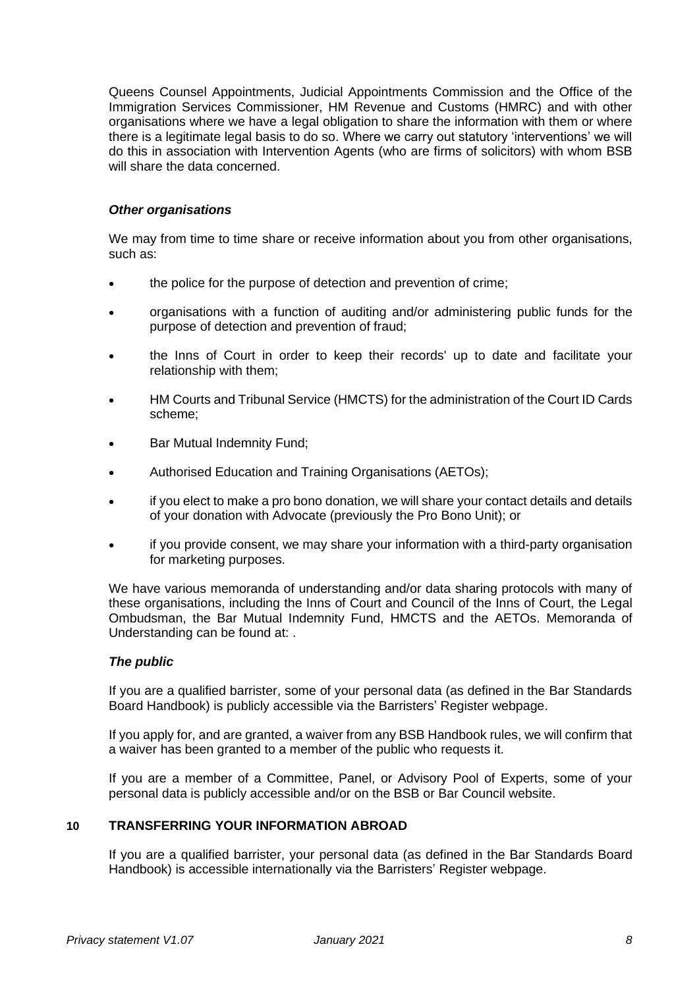Queens Counsel Appointments, Judicial Appointments Commission and the Office of the Immigration Services Commissioner, HM Revenue and Customs (HMRC) and with other organisations where we have a legal obligation to share the information with them or where there is a legitimate legal basis to do so. Where we carry out statutory 'interventions' we will do this in association with Intervention Agents (who are firms of solicitors) with whom BSB will share the data concerned.

## *Other organisations*

We may from time to time share or receive information about you from other organisations, such as:

- the police for the purpose of detection and prevention of crime;
- organisations with a function of auditing and/or administering public funds for the purpose of detection and prevention of fraud;
- the Inns of Court in order to keep their records' up to date and facilitate your relationship with them;
- HM Courts and Tribunal Service (HMCTS) for the administration of the Court ID Cards scheme;
- Bar Mutual Indemnity Fund;
- Authorised Education and Training Organisations (AETOs);
- if you elect to make a pro bono donation, we will share your contact details and details of your donation with Advocate (previously the Pro Bono Unit); or
- if you provide consent, we may share your information with a third-party organisation for marketing purposes.

We have various memoranda of understanding and/or data sharing protocols with many of these organisations, including the Inns of Court and Council of the Inns of Court, the Legal Ombudsman, the Bar Mutual Indemnity Fund, HMCTS and the AETOs. Memoranda of Understanding can be found at: .

## *The public*

If you are a qualified barrister, some of your personal data (as defined in the Bar Standards Board Handbook) is publicly accessible via the Barristers' Register webpage.

If you apply for, and are granted, a waiver from any BSB Handbook rules, we will confirm that a waiver has been granted to a member of the public who requests it.

If you are a member of a Committee, Panel, or Advisory Pool of Experts, some of your personal data is publicly accessible and/or on the BSB or Bar Council website.

## **10 TRANSFERRING YOUR INFORMATION ABROAD**

If you are a qualified barrister, your personal data (as defined in the Bar Standards Board Handbook) is accessible internationally via the Barristers' Register webpage.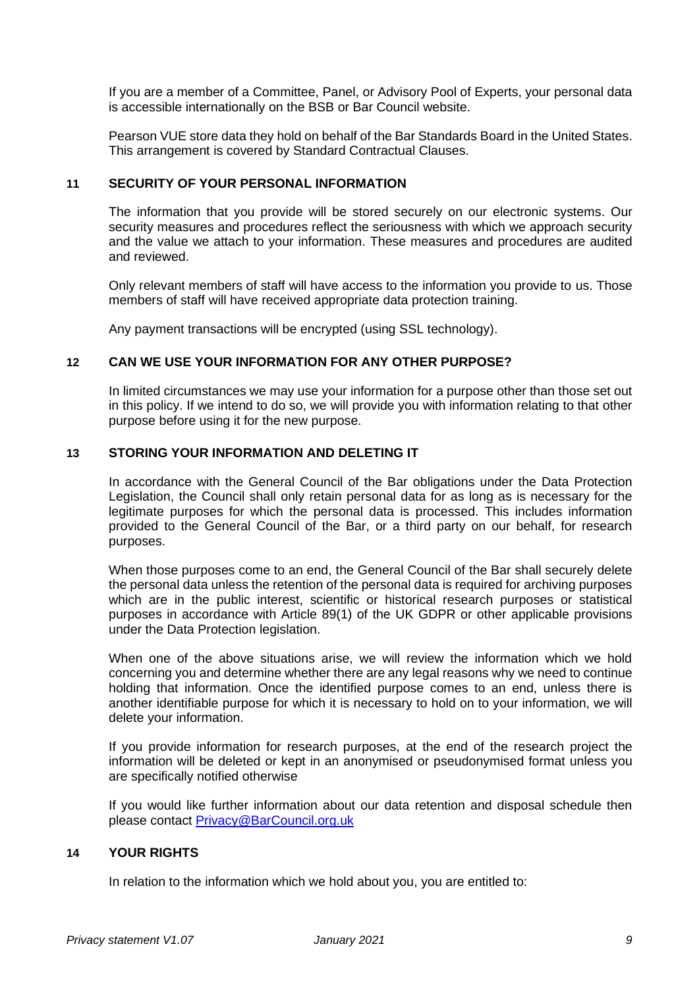If you are a member of a Committee, Panel, or Advisory Pool of Experts, your personal data is accessible internationally on the BSB or Bar Council website.

Pearson VUE store data they hold on behalf of the Bar Standards Board in the United States. This arrangement is covered by Standard Contractual Clauses.

## **11 SECURITY OF YOUR PERSONAL INFORMATION**

The information that you provide will be stored securely on our electronic systems. Our security measures and procedures reflect the seriousness with which we approach security and the value we attach to your information. These measures and procedures are audited and reviewed.

Only relevant members of staff will have access to the information you provide to us. Those members of staff will have received appropriate data protection training.

Any payment transactions will be encrypted (using SSL technology).

## **12 CAN WE USE YOUR INFORMATION FOR ANY OTHER PURPOSE?**

In limited circumstances we may use your information for a purpose other than those set out in this policy. If we intend to do so, we will provide you with information relating to that other purpose before using it for the new purpose.

# **13 STORING YOUR INFORMATION AND DELETING IT**

In accordance with the General Council of the Bar obligations under the Data Protection Legislation, the Council shall only retain personal data for as long as is necessary for the legitimate purposes for which the personal data is processed. This includes information provided to the General Council of the Bar, or a third party on our behalf, for research purposes.

When those purposes come to an end, the General Council of the Bar shall securely delete the personal data unless the retention of the personal data is required for archiving purposes which are in the public interest, scientific or historical research purposes or statistical purposes in accordance with Article 89(1) of the UK GDPR or other applicable provisions under the Data Protection legislation.

When one of the above situations arise, we will review the information which we hold concerning you and determine whether there are any legal reasons why we need to continue holding that information. Once the identified purpose comes to an end, unless there is another identifiable purpose for which it is necessary to hold on to your information, we will delete your information.

If you provide information for research purposes, at the end of the research project the information will be deleted or kept in an anonymised or pseudonymised format unless you are specifically notified otherwise

If you would like further information about our data retention and disposal schedule then please contact [Privacy@BarCouncil.org.uk](mailto:Privacy@BarCouncil.org.uk)

## **14 YOUR RIGHTS**

In relation to the information which we hold about you, you are entitled to: